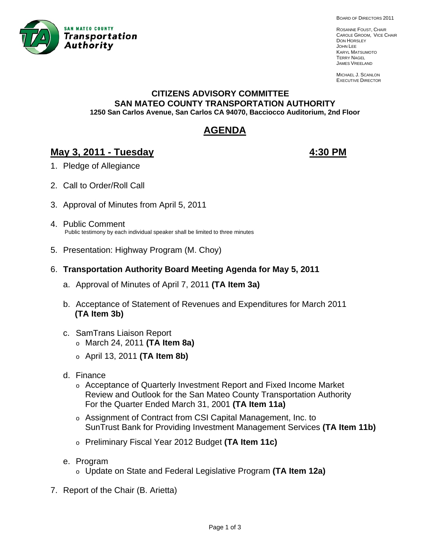

BOARD OF DIRECTORS 2011

ROSANNE FOUST, CHAIR CAROLE GROOM, VICE CHAIR DON HORSLEY JOHN LEE KARYL MATSUMOTO TERRY NAGEL JAMES VREELAND

MICHAEL J. SCANLON EXECUTIVE DIRECTOR

#### **CITIZENS ADVISORY COMMITTEE SAN MATEO COUNTY TRANSPORTATION AUTHORITY 1250 San Carlos Avenue, San Carlos CA 94070, Bacciocco Auditorium, 2nd Floor**

# **AGENDA**

# **May 3, 2011 - Tuesday 4:30 PM**

- 1. Pledge of Allegiance
- 2. Call to Order/Roll Call
- 3. Approval of Minutes from April 5, 2011
- 4. Public Comment Public testimony by each individual speaker shall be limited to three minutes
- 5. Presentation: Highway Program (M. Choy)
- 6. **Transportation Authority Board Meeting Agenda for May 5, 2011**
	- a. Approval of Minutes of April 7, 2011 **(TA Item 3a)**
	- b. Acceptance of Statement of Revenues and Expenditures for March 2011  **(TA Item 3b)**
	- c. SamTrans Liaison Report o March 24, 2011 **(TA Item 8a)**
		- o April 13, 2011 **(TA Item 8b)**
	- d. Finance
		- o Acceptance of Quarterly Investment Report and Fixed Income Market Review and Outlook for the San Mateo County Transportation Authority For the Quarter Ended March 31, 2001 **(TA Item 11a)**
		- o Assignment of Contract from CSI Capital Management, Inc. to SunTrust Bank for Providing Investment Management Services **(TA Item 11b)**
		- o Preliminary Fiscal Year 2012 Budget **(TA Item 11c)**
	- e. Program
		- o Update on State and Federal Legislative Program **(TA Item 12a)**
- 7. Report of the Chair (B. Arietta)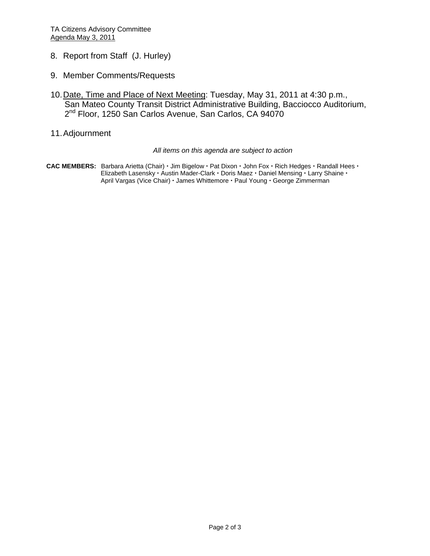- 8. Report from Staff (J. Hurley)
- 9. Member Comments/Requests
- 10. Date, Time and Place of Next Meeting: Tuesday, May 31, 2011 at 4:30 p.m., San Mateo County Transit District Administrative Building, Bacciocco Auditorium, 2<sup>nd</sup> Floor, 1250 San Carlos Avenue, San Carlos, CA 94070
- 11. Adjournment

#### *All items on this agenda are subject to action*

CAC MEMBERS: Barbara Arietta (Chair) · Jim Bigelow · Pat Dixon · John Fox · Rich Hedges · Randall Hees · Elizabeth Lasensky · Austin Mader-Clark · Doris Maez · Daniel Mensing · Larry Shaine · April Vargas (Vice Chair) · James Whittemore · Paul Young · George Zimmerman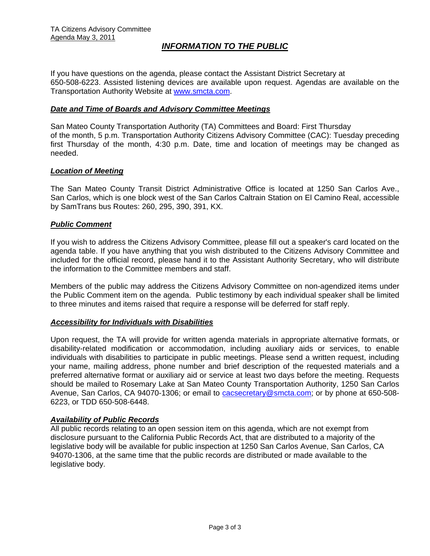# *INFORMATION TO THE PUBLIC*

If you have questions on the agenda, please contact the Assistant District Secretary at 650-508-6223. Assisted listening devices are available upon request. Agendas are available on the Transportation Authority Website at [www.smcta.com.](http://www.smcta.com/)

#### *Date and Time of Boards and Advisory Committee Meetings*

San Mateo County Transportation Authority (TA) Committees and Board: First Thursday of the month, 5 p.m. Transportation Authority Citizens Advisory Committee (CAC): Tuesday preceding first Thursday of the month, 4:30 p.m. Date, time and location of meetings may be changed as needed.

#### *Location of Meeting*

The San Mateo County Transit District Administrative Office is located at 1250 San Carlos Ave., San Carlos, which is one block west of the San Carlos Caltrain Station on El Camino Real, accessible by SamTrans bus Routes: 260, 295, 390, 391, KX.

#### *Public Comment*

If you wish to address the Citizens Advisory Committee, please fill out a speaker's card located on the agenda table. If you have anything that you wish distributed to the Citizens Advisory Committee and included for the official record, please hand it to the Assistant Authority Secretary, who will distribute the information to the Committee members and staff.

Members of the public may address the Citizens Advisory Committee on non-agendized items under the Public Comment item on the agenda. Public testimony by each individual speaker shall be limited to three minutes and items raised that require a response will be deferred for staff reply.

#### *Accessibility for Individuals with Disabilities*

Upon request, the TA will provide for written agenda materials in appropriate alternative formats, or disability-related modification or accommodation, including auxiliary aids or services, to enable individuals with disabilities to participate in public meetings. Please send a written request, including your name, mailing address, phone number and brief description of the requested materials and a preferred alternative format or auxiliary aid or service at least two days before the meeting. Requests should be mailed to Rosemary Lake at San Mateo County Transportation Authority, 1250 San Carlos Avenue, San Carlos, CA 94070-1306; or email to [cacsecretary@smcta.com](mailto:cacsecretary@smcta.com); or by phone at 650-508- 6223, or TDD 650-508-6448.

#### *Availability of Public Records*

All public records relating to an open session item on this agenda, which are not exempt from disclosure pursuant to the California Public Records Act, that are distributed to a majority of the legislative body will be available for public inspection at 1250 San Carlos Avenue, San Carlos, CA 94070-1306, at the same time that the public records are distributed or made available to the legislative body.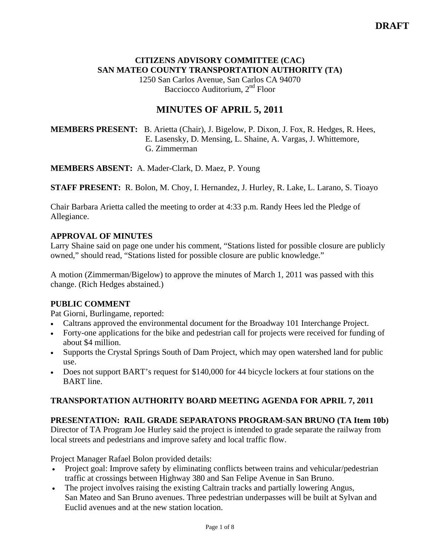# **CITIZENS ADVISORY COMMITTEE (CAC) SAN MATEO COUNTY TRANSPORTATION AUTHORITY (TA)**

1250 San Carlos Avenue, San Carlos CA 94070 Bacciocco Auditorium, 2<sup>nd</sup> Floor

# **MINUTES OF APRIL 5, 2011**

# **MEMBERS PRESENT:** B. Arietta (Chair), J. Bigelow, P. Dixon, J. Fox, R. Hedges, R. Hees, E. Lasensky, D. Mensing, L. Shaine, A. Vargas, J. Whittemore, G. Zimmerman

**MEMBERS ABSENT:** A. Mader-Clark, D. Maez, P. Young

**STAFF PRESENT:** R. Bolon, M. Choy, I. Hernandez, J. Hurley, R. Lake, L. Larano, S. Tioayo

Chair Barbara Arietta called the meeting to order at 4:33 p.m. Randy Hees led the Pledge of Allegiance.

## **APPROVAL OF MINUTES**

Larry Shaine said on page one under his comment, "Stations listed for possible closure are publicly owned," should read, "Stations listed for possible closure are public knowledge."

A motion (Zimmerman/Bigelow) to approve the minutes of March 1, 2011 was passed with this change. (Rich Hedges abstained.)

# **PUBLIC COMMENT**

Pat Giorni, Burlingame, reported:

- Caltrans approved the environmental document for the Broadway 101 Interchange Project.
- Forty-one applications for the bike and pedestrian call for projects were received for funding of about \$4 million.
- Supports the Crystal Springs South of Dam Project, which may open watershed land for public use.
- Does not support BART's request for \$140,000 for 44 bicycle lockers at four stations on the BART line.

# **TRANSPORTATION AUTHORITY BOARD MEETING AGENDA FOR APRIL 7, 2011**

# **PRESENTATION: RAIL GRADE SEPARATONS PROGRAM-SAN BRUNO (TA Item 10b)**

Director of TA Program Joe Hurley said the project is intended to grade separate the railway from local streets and pedestrians and improve safety and local traffic flow.

Project Manager Rafael Bolon provided details:

- Project goal: Improve safety by eliminating conflicts between trains and vehicular/pedestrian traffic at crossings between Highway 380 and San Felipe Avenue in San Bruno.
- The project involves raising the existing Caltrain tracks and partially lowering Angus, San Mateo and San Bruno avenues. Three pedestrian underpasses will be built at Sylvan and Euclid avenues and at the new station location.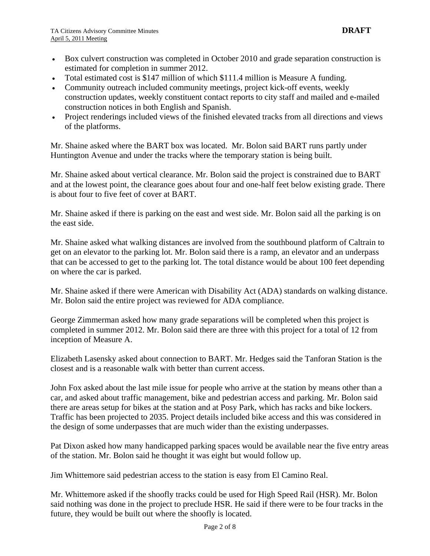- Box culvert construction was completed in October 2010 and grade separation construction is estimated for completion in summer 2012.
- Total estimated cost is \$147 million of which \$111.4 million is Measure A funding.
- Community outreach included community meetings, project kick-off events, weekly construction updates, weekly constituent contact reports to city staff and mailed and e-mailed construction notices in both English and Spanish.
- Project renderings included views of the finished elevated tracks from all directions and views of the platforms.

Mr. Shaine asked where the BART box was located. Mr. Bolon said BART runs partly under Huntington Avenue and under the tracks where the temporary station is being built.

Mr. Shaine asked about vertical clearance. Mr. Bolon said the project is constrained due to BART and at the lowest point, the clearance goes about four and one-half feet below existing grade. There is about four to five feet of cover at BART.

Mr. Shaine asked if there is parking on the east and west side. Mr. Bolon said all the parking is on the east side.

Mr. Shaine asked what walking distances are involved from the southbound platform of Caltrain to get on an elevator to the parking lot. Mr. Bolon said there is a ramp, an elevator and an underpass that can be accessed to get to the parking lot. The total distance would be about 100 feet depending on where the car is parked.

Mr. Shaine asked if there were American with Disability Act (ADA) standards on walking distance. Mr. Bolon said the entire project was reviewed for ADA compliance.

George Zimmerman asked how many grade separations will be completed when this project is completed in summer 2012. Mr. Bolon said there are three with this project for a total of 12 from inception of Measure A.

Elizabeth Lasensky asked about connection to BART. Mr. Hedges said the Tanforan Station is the closest and is a reasonable walk with better than current access.

John Fox asked about the last mile issue for people who arrive at the station by means other than a car, and asked about traffic management, bike and pedestrian access and parking. Mr. Bolon said there are areas setup for bikes at the station and at Posy Park, which has racks and bike lockers. Traffic has been projected to 2035. Project details included bike access and this was considered in the design of some underpasses that are much wider than the existing underpasses.

Pat Dixon asked how many handicapped parking spaces would be available near the five entry areas of the station. Mr. Bolon said he thought it was eight but would follow up.

Jim Whittemore said pedestrian access to the station is easy from El Camino Real.

Mr. Whittemore asked if the shoofly tracks could be used for High Speed Rail (HSR). Mr. Bolon said nothing was done in the project to preclude HSR. He said if there were to be four tracks in the future, they would be built out where the shoofly is located.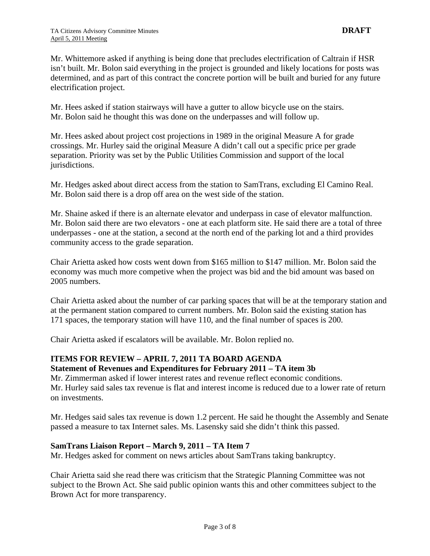Mr. Whittemore asked if anything is being done that precludes electrification of Caltrain if HSR isn't built. Mr. Bolon said everything in the project is grounded and likely locations for posts was determined, and as part of this contract the concrete portion will be built and buried for any future electrification project.

Mr. Hees asked if station stairways will have a gutter to allow bicycle use on the stairs. Mr. Bolon said he thought this was done on the underpasses and will follow up.

Mr. Hees asked about project cost projections in 1989 in the original Measure A for grade crossings. Mr. Hurley said the original Measure A didn't call out a specific price per grade separation. Priority was set by the Public Utilities Commission and support of the local jurisdictions.

Mr. Hedges asked about direct access from the station to SamTrans, excluding El Camino Real. Mr. Bolon said there is a drop off area on the west side of the station.

Mr. Shaine asked if there is an alternate elevator and underpass in case of elevator malfunction. Mr. Bolon said there are two elevators - one at each platform site. He said there are a total of three underpasses - one at the station, a second at the north end of the parking lot and a third provides community access to the grade separation.

Chair Arietta asked how costs went down from \$165 million to \$147 million. Mr. Bolon said the economy was much more competive when the project was bid and the bid amount was based on 2005 numbers.

Chair Arietta asked about the number of car parking spaces that will be at the temporary station and at the permanent station compared to current numbers. Mr. Bolon said the existing station has 171 spaces, the temporary station will have 110, and the final number of spaces is 200.

Chair Arietta asked if escalators will be available. Mr. Bolon replied no.

#### **ITEMS FOR REVIEW – APRIL 7, 2011 TA BOARD AGENDA Statement of Revenues and Expenditures for February 2011 – TA item 3b**

Mr. Zimmerman asked if lower interest rates and revenue reflect economic conditions. Mr. Hurley said sales tax revenue is flat and interest income is reduced due to a lower rate of return on investments.

Mr. Hedges said sales tax revenue is down 1.2 percent. He said he thought the Assembly and Senate passed a measure to tax Internet sales. Ms. Lasensky said she didn't think this passed.

# **SamTrans Liaison Report – March 9, 2011 – TA Item 7**

Mr. Hedges asked for comment on news articles about SamTrans taking bankruptcy.

Chair Arietta said she read there was criticism that the Strategic Planning Committee was not subject to the Brown Act. She said public opinion wants this and other committees subject to the Brown Act for more transparency.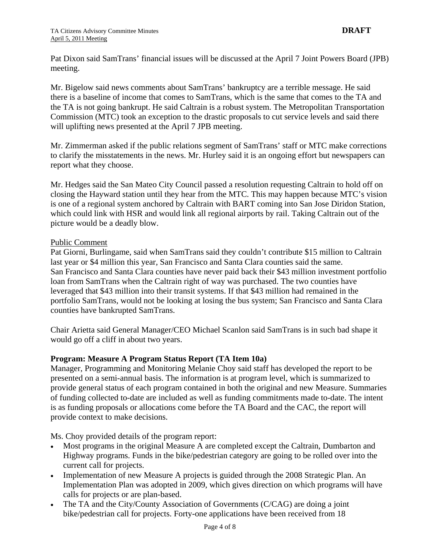Pat Dixon said SamTrans' financial issues will be discussed at the April 7 Joint Powers Board (JPB) meeting.

Mr. Bigelow said news comments about SamTrans' bankruptcy are a terrible message. He said there is a baseline of income that comes to SamTrans, which is the same that comes to the TA and the TA is not going bankrupt. He said Caltrain is a robust system. The Metropolitan Transportation Commission (MTC) took an exception to the drastic proposals to cut service levels and said there will uplifting news presented at the April 7 JPB meeting.

Mr. Zimmerman asked if the public relations segment of SamTrans' staff or MTC make corrections to clarify the misstatements in the news. Mr. Hurley said it is an ongoing effort but newspapers can report what they choose.

Mr. Hedges said the San Mateo City Council passed a resolution requesting Caltrain to hold off on closing the Hayward station until they hear from the MTC. This may happen because MTC's vision is one of a regional system anchored by Caltrain with BART coming into San Jose Diridon Station, which could link with HSR and would link all regional airports by rail. Taking Caltrain out of the picture would be a deadly blow.

## Public Comment

Pat Giorni, Burlingame, said when SamTrans said they couldn't contribute \$15 million to Caltrain last year or \$4 million this year, San Francisco and Santa Clara counties said the same. San Francisco and Santa Clara counties have never paid back their \$43 million investment portfolio loan from SamTrans when the Caltrain right of way was purchased. The two counties have leveraged that \$43 million into their transit systems. If that \$43 million had remained in the portfolio SamTrans, would not be looking at losing the bus system; San Francisco and Santa Clara counties have bankrupted SamTrans.

Chair Arietta said General Manager/CEO Michael Scanlon said SamTrans is in such bad shape it would go off a cliff in about two years.

# **Program: Measure A Program Status Report (TA Item 10a)**

Manager, Programming and Monitoring Melanie Choy said staff has developed the report to be presented on a semi-annual basis. The information is at program level, which is summarized to provide general status of each program contained in both the original and new Measure. Summaries of funding collected to-date are included as well as funding commitments made to-date. The intent is as funding proposals or allocations come before the TA Board and the CAC, the report will provide context to make decisions.

Ms. Choy provided details of the program report:

- Most programs in the original Measure A are completed except the Caltrain, Dumbarton and Highway programs. Funds in the bike/pedestrian category are going to be rolled over into the current call for projects.
- Implementation of new Measure A projects is guided through the 2008 Strategic Plan. An Implementation Plan was adopted in 2009, which gives direction on which programs will have calls for projects or are plan-based.
- The TA and the City/County Association of Governments (C/CAG) are doing a joint bike/pedestrian call for projects. Forty-one applications have been received from 18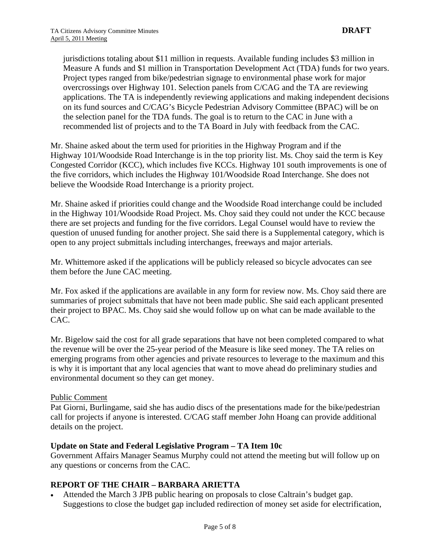jurisdictions totaling about \$11 million in requests. Available funding includes \$3 million in Measure A funds and \$1 million in Transportation Development Act (TDA) funds for two years. Project types ranged from bike/pedestrian signage to environmental phase work for major overcrossings over Highway 101. Selection panels from C/CAG and the TA are reviewing applications. The TA is independently reviewing applications and making independent decisions on its fund sources and C/CAG's Bicycle Pedestrian Advisory Committee (BPAC) will be on the selection panel for the TDA funds. The goal is to return to the CAC in June with a recommended list of projects and to the TA Board in July with feedback from the CAC.

Mr. Shaine asked about the term used for priorities in the Highway Program and if the Highway 101/Woodside Road Interchange is in the top priority list. Ms. Choy said the term is Key Congested Corridor (KCC), which includes five KCCs. Highway 101 south improvements is one of the five corridors, which includes the Highway 101/Woodside Road Interchange. She does not believe the Woodside Road Interchange is a priority project.

Mr. Shaine asked if priorities could change and the Woodside Road interchange could be included in the Highway 101/Woodside Road Project. Ms. Choy said they could not under the KCC because there are set projects and funding for the five corridors. Legal Counsel would have to review the question of unused funding for another project. She said there is a Supplemental category, which is open to any project submittals including interchanges, freeways and major arterials.

Mr. Whittemore asked if the applications will be publicly released so bicycle advocates can see them before the June CAC meeting.

Mr. Fox asked if the applications are available in any form for review now. Ms. Choy said there are summaries of project submittals that have not been made public. She said each applicant presented their project to BPAC. Ms. Choy said she would follow up on what can be made available to the CAC.

Mr. Bigelow said the cost for all grade separations that have not been completed compared to what the revenue will be over the 25-year period of the Measure is like seed money. The TA relies on emerging programs from other agencies and private resources to leverage to the maximum and this is why it is important that any local agencies that want to move ahead do preliminary studies and environmental document so they can get money.

#### Public Comment

Pat Giorni, Burlingame, said she has audio discs of the presentations made for the bike/pedestrian call for projects if anyone is interested. C/CAG staff member John Hoang can provide additional details on the project.

#### **Update on State and Federal Legislative Program – TA Item 10c**

Government Affairs Manager Seamus Murphy could not attend the meeting but will follow up on any questions or concerns from the CAC.

#### **REPORT OF THE CHAIR – BARBARA ARIETTA**

• Attended the March 3 JPB public hearing on proposals to close Caltrain's budget gap. Suggestions to close the budget gap included redirection of money set aside for electrification,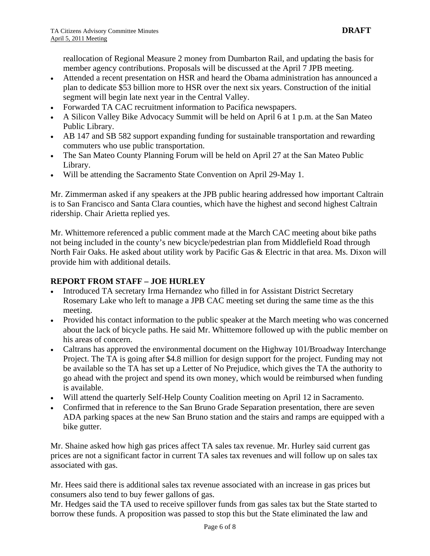reallocation of Regional Measure 2 money from Dumbarton Rail, and updating the basis for member agency contributions. Proposals will be discussed at the April 7 JPB meeting.

- Attended a recent presentation on HSR and heard the Obama administration has announced a plan to dedicate \$53 billion more to HSR over the next six years. Construction of the initial segment will begin late next year in the Central Valley.
- Forwarded TA CAC recruitment information to Pacifica newspapers.
- A Silicon Valley Bike Advocacy Summit will be held on April 6 at 1 p.m. at the San Mateo Public Library.
- AB 147 and SB 582 support expanding funding for sustainable transportation and rewarding commuters who use public transportation.
- The San Mateo County Planning Forum will be held on April 27 at the San Mateo Public Library.
- Will be attending the Sacramento State Convention on April 29-May 1.

Mr. Zimmerman asked if any speakers at the JPB public hearing addressed how important Caltrain is to San Francisco and Santa Clara counties, which have the highest and second highest Caltrain ridership. Chair Arietta replied yes.

Mr. Whittemore referenced a public comment made at the March CAC meeting about bike paths not being included in the county's new bicycle/pedestrian plan from Middlefield Road through North Fair Oaks. He asked about utility work by Pacific Gas & Electric in that area. Ms. Dixon will provide him with additional details.

## **REPORT FROM STAFF – JOE HURLEY**

- Introduced TA secretary Irma Hernandez who filled in for Assistant District Secretary Rosemary Lake who left to manage a JPB CAC meeting set during the same time as the this meeting.
- Provided his contact information to the public speaker at the March meeting who was concerned about the lack of bicycle paths. He said Mr. Whittemore followed up with the public member on his areas of concern.
- Caltrans has approved the environmental document on the Highway 101/Broadway Interchange Project. The TA is going after \$4.8 million for design support for the project. Funding may not be available so the TA has set up a Letter of No Prejudice, which gives the TA the authority to go ahead with the project and spend its own money, which would be reimbursed when funding is available.
- Will attend the quarterly Self-Help County Coalition meeting on April 12 in Sacramento.
- Confirmed that in reference to the San Bruno Grade Separation presentation, there are seven ADA parking spaces at the new San Bruno station and the stairs and ramps are equipped with a bike gutter.

Mr. Shaine asked how high gas prices affect TA sales tax revenue. Mr. Hurley said current gas prices are not a significant factor in current TA sales tax revenues and will follow up on sales tax associated with gas.

Mr. Hees said there is additional sales tax revenue associated with an increase in gas prices but consumers also tend to buy fewer gallons of gas.

Mr. Hedges said the TA used to receive spillover funds from gas sales tax but the State started to borrow these funds. A proposition was passed to stop this but the State eliminated the law and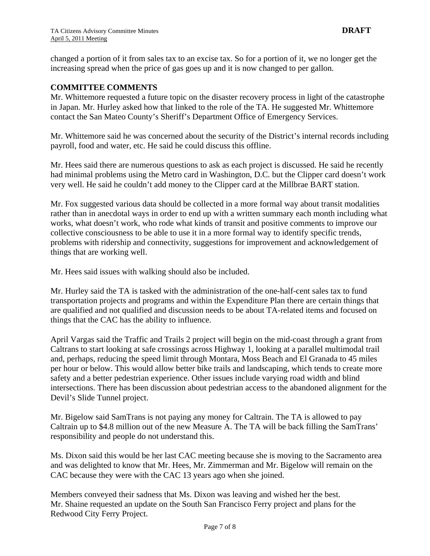changed a portion of it from sales tax to an excise tax. So for a portion of it, we no longer get the increasing spread when the price of gas goes up and it is now changed to per gallon.

#### **COMMITTEE COMMENTS**

Mr. Whittemore requested a future topic on the disaster recovery process in light of the catastrophe in Japan. Mr. Hurley asked how that linked to the role of the TA. He suggested Mr. Whittemore contact the San Mateo County's Sheriff's Department Office of Emergency Services.

Mr. Whittemore said he was concerned about the security of the District's internal records including payroll, food and water, etc. He said he could discuss this offline.

Mr. Hees said there are numerous questions to ask as each project is discussed. He said he recently had minimal problems using the Metro card in Washington, D.C. but the Clipper card doesn't work very well. He said he couldn't add money to the Clipper card at the Millbrae BART station.

Mr. Fox suggested various data should be collected in a more formal way about transit modalities rather than in anecdotal ways in order to end up with a written summary each month including what works, what doesn't work, who rode what kinds of transit and positive comments to improve our collective consciousness to be able to use it in a more formal way to identify specific trends, problems with ridership and connectivity, suggestions for improvement and acknowledgement of things that are working well.

Mr. Hees said issues with walking should also be included.

Mr. Hurley said the TA is tasked with the administration of the one-half-cent sales tax to fund transportation projects and programs and within the Expenditure Plan there are certain things that are qualified and not qualified and discussion needs to be about TA-related items and focused on things that the CAC has the ability to influence.

April Vargas said the Traffic and Trails 2 project will begin on the mid-coast through a grant from Caltrans to start looking at safe crossings across Highway 1, looking at a parallel multimodal trail and, perhaps, reducing the speed limit through Montara, Moss Beach and El Granada to 45 miles per hour or below. This would allow better bike trails and landscaping, which tends to create more safety and a better pedestrian experience. Other issues include varying road width and blind intersections. There has been discussion about pedestrian access to the abandoned alignment for the Devil's Slide Tunnel project.

Mr. Bigelow said SamTrans is not paying any money for Caltrain. The TA is allowed to pay Caltrain up to \$4.8 million out of the new Measure A. The TA will be back filling the SamTrans' responsibility and people do not understand this.

Ms. Dixon said this would be her last CAC meeting because she is moving to the Sacramento area and was delighted to know that Mr. Hees, Mr. Zimmerman and Mr. Bigelow will remain on the CAC because they were with the CAC 13 years ago when she joined.

Members conveyed their sadness that Ms. Dixon was leaving and wished her the best. Mr. Shaine requested an update on the South San Francisco Ferry project and plans for the Redwood City Ferry Project.